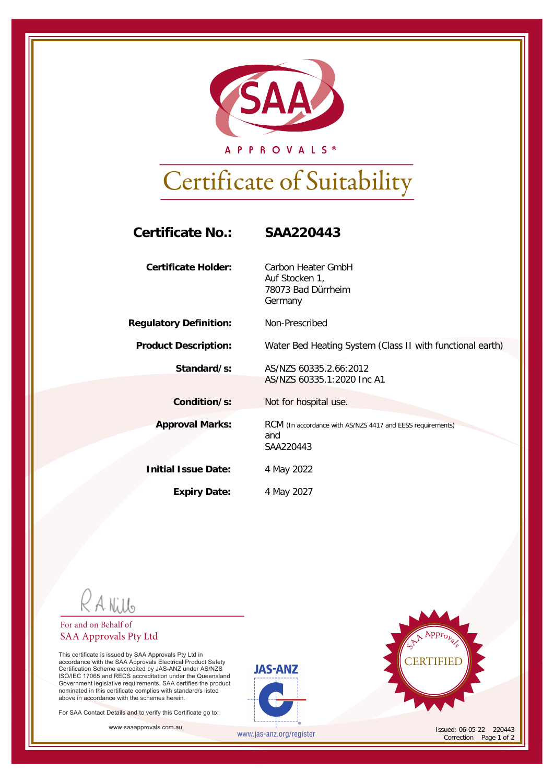

A P P R O V A L S ®

# Certificate of Suitability

| <b>Certificate No.:</b>       | SAA220443                                                                      |
|-------------------------------|--------------------------------------------------------------------------------|
| <b>Certificate Holder:</b>    | Carbon Heater GmbH<br>Auf Stocken 1,<br>78073 Bad Dürrheim<br>Germany          |
| <b>Regulatory Definition:</b> | Non-Prescribed                                                                 |
| <b>Product Description:</b>   | Water Bed Heating System (Class II with functional earth)                      |
| Standard/s:                   | AS/N7S 60335 2.66:2012<br>AS/NZS 60335.1:2020 Inc A1                           |
| Condition/s:                  | Not for hospital use.                                                          |
| <b>Approval Marks:</b>        | RCM (In accordance with AS/NZS 4417 and EESS requirements)<br>and<br>SAA220443 |
| <b>Initial Issue Date:</b>    | 4 May 2022                                                                     |
| <b>Expiry Date:</b>           | 4 May 2027                                                                     |

R A Nillo

### For and on Behalf of SAA Approvals Pty Ltd

This certificate is issued by SAA Approvals Pty Ltd in<br>accordance with the SAA Approvals Electrical Product Safety<br>Certification Scheme accredited by JAS-ANZ<br>ISO/IEC 17065 and RECS accreditation under the Queensland Government legislative requirements. SAA certifies the product nominated in this certificate complies with standard/s listed above in accordance with the schemes herein.

For SAA Contact Details and to verify this Certificate go to:

www.saaapprovals.com.au **Issued: 06-05-22 220443** 





Correction Page 1 of 2

www.jas-anz.org/register